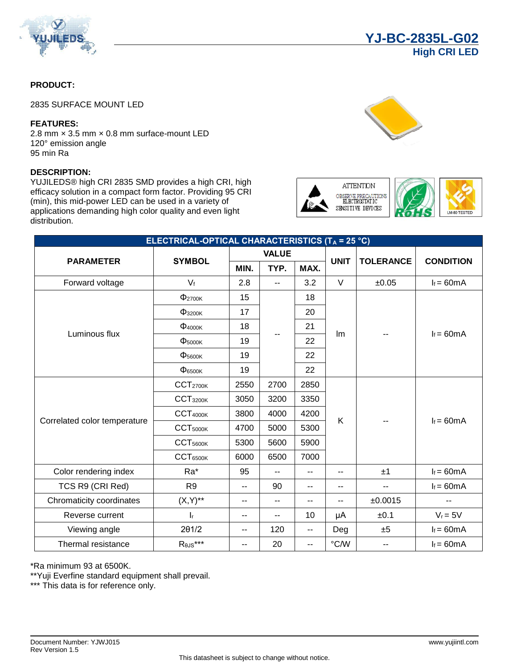

### **PRODUCT:**

2835 SURFACE MOUNT LED

#### **FEATURES:**

2.8 mm x 3.5 mm x 0.8 mm surface-mount LED 120° emission angle 95 min Ra

### **DESCRIPTION:**

YUJILEDS® high CRI 2835 SMD provides a high CRI, high efficacy solution in a compact form factor. Providing 95 CRI (min), this mid-power LED can be used in a variety of applications demanding high color quality and even light distribution.



**ATTENTION** OBSERVE PRECAUTION SENSITIVE DEVICES

**YJ-BC-2835L-G02**

**High CRI LED**



| ELECTRICAL-OPTICAL CHARACTERISTICS (T <sub>A</sub> = 25 °C) |                                 |              |                |                          |               |                          |                  |
|-------------------------------------------------------------|---------------------------------|--------------|----------------|--------------------------|---------------|--------------------------|------------------|
| <b>PARAMETER</b>                                            | <b>SYMBOL</b>                   | <b>VALUE</b> |                |                          | <b>UNIT</b>   | <b>TOLERANCE</b>         |                  |
|                                                             |                                 | MIN.         | TYP.           | MAX.                     |               |                          | <b>CONDITION</b> |
| Forward voltage                                             | $V_f$                           | 2.8          | $\overline{a}$ | 3.2                      | $\vee$        | ±0.05                    | $I_f = 60mA$     |
|                                                             | $\Phi$ <sub>2700K</sub>         | 15           | 18             |                          |               |                          |                  |
|                                                             | $\Phi$ 3200K                    | 17           |                | 20                       | Im            | --                       | $I_f = 60mA$     |
|                                                             | $\Phi$ <sub>4000</sub> $\kappa$ | 18           |                | 21                       |               |                          |                  |
| Luminous flux                                               | $\Phi$ <sub>5000</sub> $\kappa$ | 19           |                | 22                       |               |                          |                  |
|                                                             | $\Phi_{5600K}$                  | 19           |                | 22                       |               |                          |                  |
|                                                             | $\Phi_{6500K}$                  | 19           |                | 22                       |               |                          |                  |
| Correlated color temperature                                | CCT <sub>2700K</sub>            | 2550         | 2700           | 2850                     |               |                          | $I_f = 60mA$     |
|                                                             | CCT <sub>3200K</sub>            | 3050         | 3200           | 3350                     |               |                          |                  |
|                                                             | CCT <sub>4000K</sub>            | 3800         | 4000           | 4200                     | K.            |                          |                  |
|                                                             | CCT <sub>5000K</sub>            | 4700         | 5000           | 5300                     | --            |                          |                  |
|                                                             | CCT <sub>5600K</sub>            | 5300         | 5600           | 5900                     |               |                          |                  |
|                                                             | CCT <sub>6500K</sub>            | 6000         | 6500           | 7000                     |               |                          |                  |
| Color rendering index                                       | Ra*                             | 95           | --             | $\overline{\phantom{a}}$ | $-$           | ±1                       | $I_f = 60mA$     |
| TCS R9 (CRI Red)                                            | R <sub>9</sub>                  | --           | 90             | $\overline{\phantom{a}}$ | $-$           | --                       | $I_f = 60mA$     |
| Chromaticity coordinates                                    | $(X,Y)^{**}$                    | $-$          | --             | --                       | --            | ±0.0015                  |                  |
| Reverse current                                             | $\mathsf{I}_\mathsf{r}$         | $-$          | $-$            | 10                       | μA            | ±0.1                     | $V_r = 5V$       |
| Viewing angle                                               | 201/2                           | --           | 120            | $\overline{a}$           | Deg           | ±5                       | $I_f = 60mA$     |
| Thermal resistance                                          | $R_{\theta\text{JS}}^{***}$     | $-$          | 20             | $\overline{\phantom{a}}$ | $\degree$ C/W | $\overline{\phantom{a}}$ | $I_f = 60mA$     |

\*Ra minimum 93 at 6500K.

\*\*Yuji Everfine standard equipment shall prevail.

\*\*\* This data is for reference only.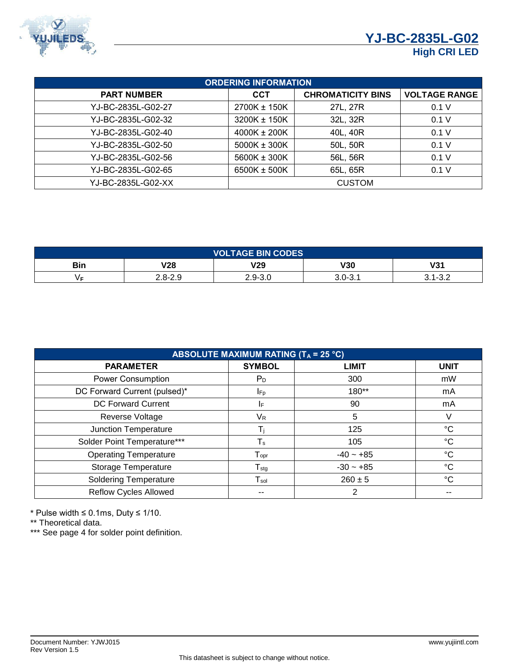

| <b>ORDERING INFORMATION</b> |                  |                          |                      |  |  |  |
|-----------------------------|------------------|--------------------------|----------------------|--|--|--|
| <b>PART NUMBER</b>          | CCT              | <b>CHROMATICITY BINS</b> | <b>VOLTAGE RANGE</b> |  |  |  |
| YJ-BC-2835L-G02-27          | 2700K ± 150K     | 27L, 27R                 | 0.1 V                |  |  |  |
| YJ-BC-2835L-G02-32          | 3200K ± 150K     | 32L, 32R                 | 0.1V                 |  |  |  |
| YJ-BC-2835L-G02-40          | $4000K \pm 200K$ | 40L, 40R                 | 0.1V                 |  |  |  |
| YJ-BC-2835L-G02-50          | 5000K ± 300K     | 50L, 50R                 | 0.1V                 |  |  |  |
| YJ-BC-2835L-G02-56          | 5600K ± 300K     | 56L, 56R                 | 0.1 V                |  |  |  |
| YJ-BC-2835L-G02-65          | 6500K ± 500K     | 65L, 65R                 | 0.1 V                |  |  |  |
| YJ-BC-2835L-G02-XX          |                  | <b>CUSTOM</b>            |                      |  |  |  |

| <b>VOLTAGE BIN CODES</b> |             |         |         |                 |  |
|--------------------------|-------------|---------|---------|-----------------|--|
| Bin                      | <b>V28</b>  | V29     | V30     | 1/24<br>VJ I    |  |
|                          | $2.8 - 2.9$ | 2.9-3.0 | 3.0-3.1 | ່ 4 ຕິ ຕ<br>. . |  |

| <b>ABSOLUTE MAXIMUM RATING (TA = 25 °C)</b> |                              |              |             |  |  |  |
|---------------------------------------------|------------------------------|--------------|-------------|--|--|--|
| <b>PARAMETER</b>                            | <b>SYMBOL</b>                | <b>LIMIT</b> | <b>UNIT</b> |  |  |  |
| Power Consumption                           | $P_D$                        | 300          | mW          |  |  |  |
| DC Forward Current (pulsed)*                | <b>I</b> Fp                  | 180**        | mA          |  |  |  |
| DC Forward Current                          | IF.                          | 90           | mA          |  |  |  |
| Reverse Voltage                             | V <sub>R</sub>               | 5            |             |  |  |  |
| Junction Temperature                        |                              | 125          | °C          |  |  |  |
| Solder Point Temperature***                 | $\mathsf T_\mathsf s$        | 105          | $^{\circ}C$ |  |  |  |
| <b>Operating Temperature</b>                | ${\mathsf T}_{\mathsf{opr}}$ | $-40 - +85$  | $^{\circ}C$ |  |  |  |
| Storage Temperature                         | $\mathsf{T}_{\text{stg}}$    | $-30 - +85$  | $^{\circ}C$ |  |  |  |
| <b>Soldering Temperature</b>                | $\mathsf{T}_{\mathsf{sol}}$  | $260 \pm 5$  | °C          |  |  |  |
| <b>Reflow Cycles Allowed</b>                |                              | 2            |             |  |  |  |

\* Pulse width ≤ 0.1ms, Duty ≤ 1/10.

\*\* Theoretical data.

\*\*\* See page 4 for solder point definition.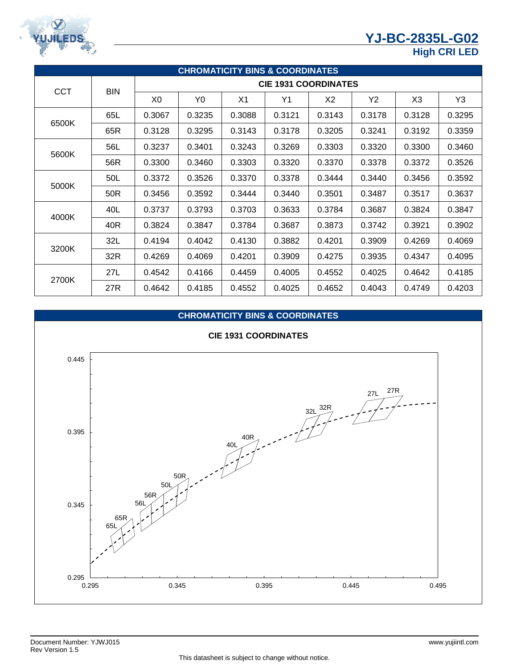# **YJ-BC-2835L-G02**



## **High CRI LED**

| <b>CHROMATICITY BINS &amp; COORDINATES</b> |            |                             |        |                |        |        |        |                |        |  |
|--------------------------------------------|------------|-----------------------------|--------|----------------|--------|--------|--------|----------------|--------|--|
| <b>CCT</b>                                 | <b>BIN</b> | <b>CIE 1931 COORDINATES</b> |        |                |        |        |        |                |        |  |
|                                            |            | X <sub>0</sub>              | Y0     | X <sub>1</sub> | Y1     | X2     | Y2     | X <sub>3</sub> | Y3     |  |
| 6500K                                      | 65L        | 0.3067                      | 0.3235 | 0.3088         | 0.3121 | 0.3143 | 0.3178 | 0.3128         | 0.3295 |  |
|                                            | 65R        | 0.3128                      | 0.3295 | 0.3143         | 0.3178 | 0.3205 | 0.3241 | 0.3192         | 0.3359 |  |
| 5600K                                      | 56L        | 0.3237                      | 0.3401 | 0.3243         | 0.3269 | 0.3303 | 0.3320 | 0.3300         | 0.3460 |  |
|                                            | 56R        | 0.3300                      | 0.3460 | 0.3303         | 0.3320 | 0.3370 | 0.3378 | 0.3372         | 0.3526 |  |
|                                            | 50L        | 0.3372                      | 0.3526 | 0.3370         | 0.3378 | 0.3444 | 0.3440 | 0.3456         | 0.3592 |  |
| 5000K                                      | 50R        | 0.3456                      | 0.3592 | 0.3444         | 0.3440 | 0.3501 | 0.3487 | 0.3517         | 0.3637 |  |
|                                            | 40L        | 0.3737                      | 0.3793 | 0.3703         | 0.3633 | 0.3784 | 0.3687 | 0.3824         | 0.3847 |  |
| 4000K                                      | 40R        | 0.3824                      | 0.3847 | 0.3784         | 0.3687 | 0.3873 | 0.3742 | 0.3921         | 0.3902 |  |
| 3200K                                      | 32L        | 0.4194                      | 0.4042 | 0.4130         | 0.3882 | 0.4201 | 0.3909 | 0.4269         | 0.4069 |  |
|                                            | 32R        | 0.4269                      | 0.4069 | 0.4201         | 0.3909 | 0.4275 | 0.3935 | 0.4347         | 0.4095 |  |
|                                            | 27L        | 0.4542                      | 0.4166 | 0.4459         | 0.4005 | 0.4552 | 0.4025 | 0.4642         | 0.4185 |  |
| 2700K                                      | 27R        | 0.4642                      | 0.4185 | 0.4552         | 0.4025 | 0.4652 | 0.4043 | 0.4749         | 0.4203 |  |

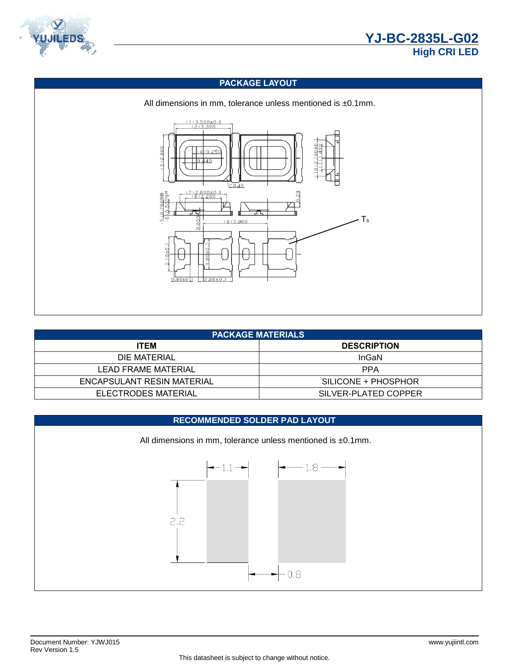



### **PACKAGE LAYOUT**



| <b>PACKAGE MATERIALS</b>   |                      |  |  |  |  |
|----------------------------|----------------------|--|--|--|--|
| <b>ITEM</b>                | <b>DESCRIPTION</b>   |  |  |  |  |
| DIE MATERIAL               | <b>InGaN</b>         |  |  |  |  |
| LEAD FRAME MATERIAL        | <b>PPA</b>           |  |  |  |  |
| ENCAPSULANT RESIN MATERIAL | SILICONE + PHOSPHOR  |  |  |  |  |
| ELECTRODES MATERIAL        | SILVER-PLATED COPPER |  |  |  |  |

#### **RECOMMENDED SOLDER PAD LAYOUT**

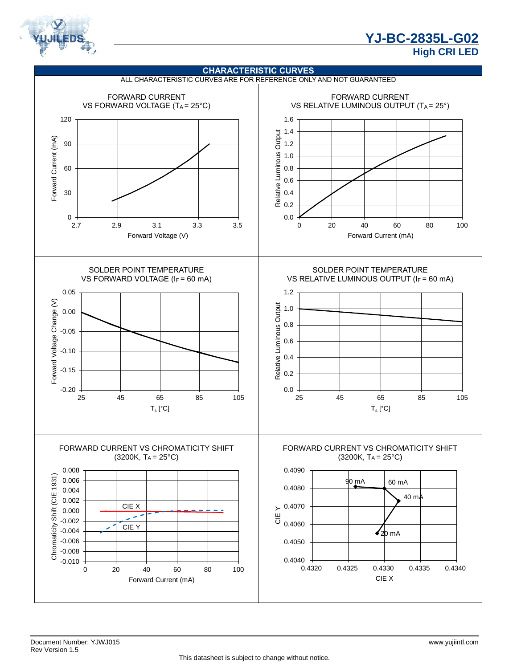

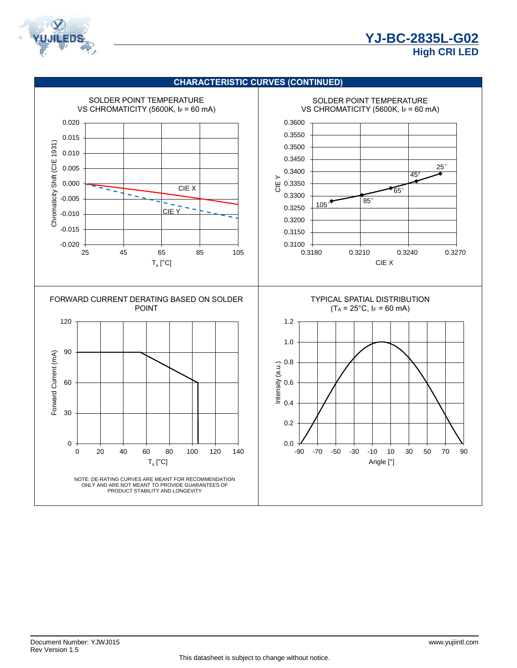

#### **CHARACTERISTIC CURVES (CONTINUED)**

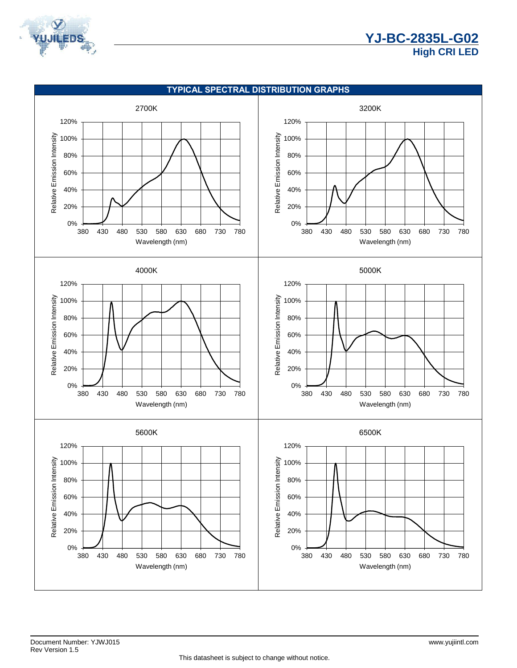

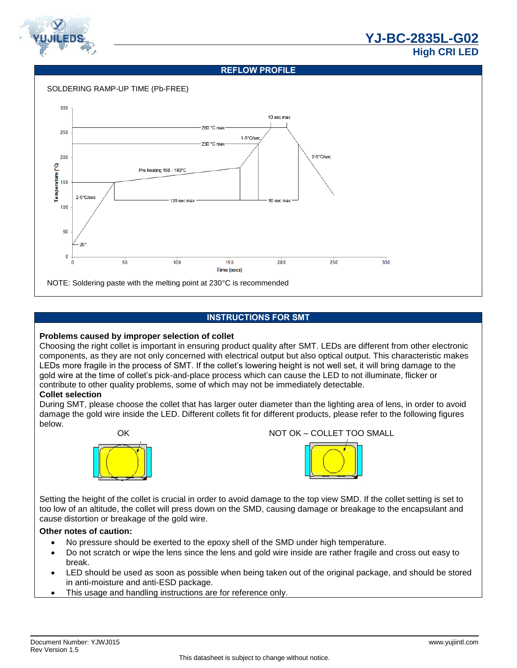

#### **REFLOW PROFILE**



### **INSTRUCTIONS FOR SMT**

#### **Problems caused by improper selection of collet**

Choosing the right collet is important in ensuring product quality after SMT. LEDs are different from other electronic components, as they are not only concerned with electrical output but also optical output. This characteristic makes LEDs more fragile in the process of SMT. If the collet's lowering height is not well set, it will bring damage to the gold wire at the time of collet's pick-and-place process which can cause the LED to not illuminate, flicker or contribute to other quality problems, some of which may not be immediately detectable.

#### **Collet selection**

During SMT, please choose the collet that has larger outer diameter than the lighting area of lens, in order to avoid damage the gold wire inside the LED. Different collets fit for different products, please refer to the following figures below.



OK NOT OK – COLLET TOO SMALL



Setting the height of the collet is crucial in order to avoid damage to the top view SMD. If the collet setting is set to too low of an altitude, the collet will press down on the SMD, causing damage or breakage to the encapsulant and cause distortion or breakage of the gold wire.

### **Other notes of caution:**

- No pressure should be exerted to the epoxy shell of the SMD under high temperature.
- Do not scratch or wipe the lens since the lens and gold wire inside are rather fragile and cross out easy to break.
- LED should be used as soon as possible when being taken out of the original package, and should be stored in anti-moisture and anti-ESD package.
- This usage and handling instructions are for reference only.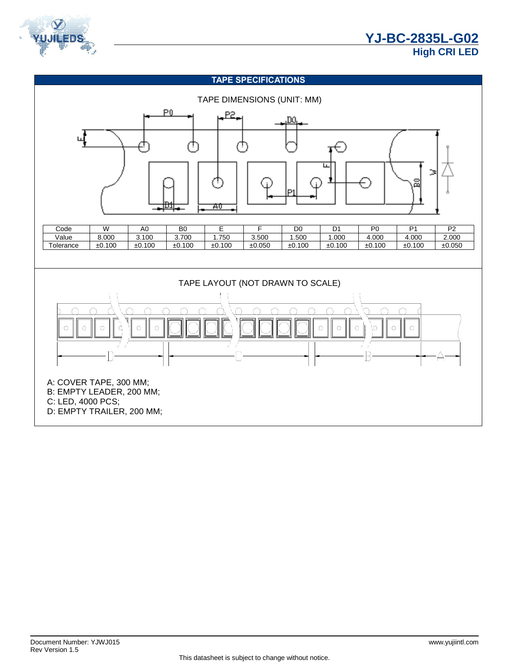

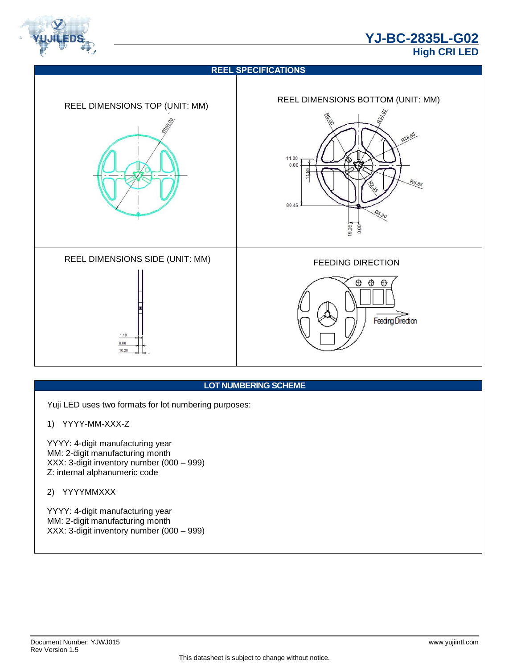



## **LOT NUMBERING SCHEME**

Yuji LED uses two formats for lot numbering purposes:

## 1) YYYY-MM-XXX-Z

YYYY: 4-digit manufacturing year MM: 2-digit manufacturing month XXX: 3-digit inventory number (000 – 999) Z: internal alphanumeric code

## 2) YYYYMMXXX

YYYY: 4-digit manufacturing year MM: 2-digit manufacturing month XXX: 3-digit inventory number (000 – 999)